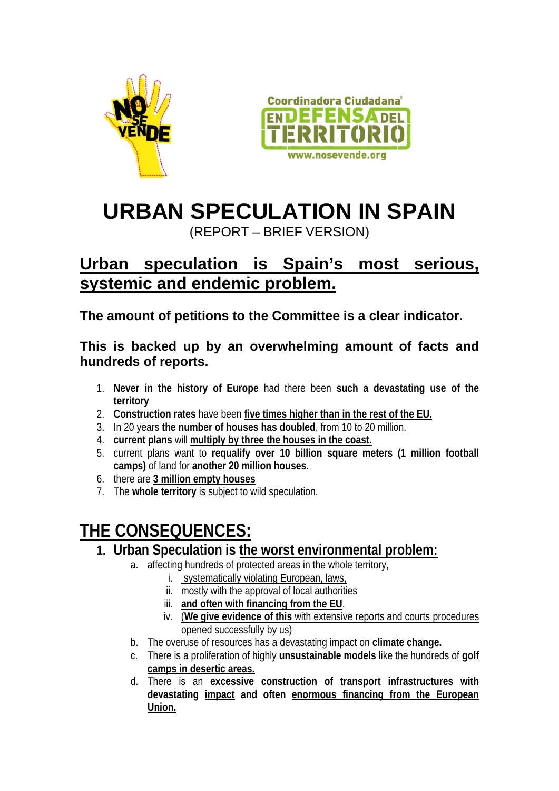



# **URBAN SPECULATION IN SPAIN**

(REPORT – BRIEF VERSION)

### **Urban speculation is Spain's most serious, systemic and endemic problem.**

**The amount of petitions to the Committee is a clear indicator.**

#### **This is backed up by an overwhelming amount of facts and hundreds of reports.**

- 1. **Never in the history of Europe** had there been **such a devastating use of the territory**
- 2. **Construction rates** have been **five times higher than in the rest of the EU.**
- 3. In 20 years **the number of houses has doubled**, from 10 to 20 million.
- 4. **current plans** will **multiply by three the houses in the coast.**
- 5. current plans want to **requalify over 10 billion square meters (1 million football camps)** of land for **another 20 million houses.**
- 6. there are **3 million empty houses**
- 7. The **whole territory** is subject to wild speculation.

## **THE CONSEQUENCES:**

- **1. Urban Speculation is the worst environmental problem:**
	- a. affecting hundreds of protected areas in the whole territory,
		- i. systematically violating European, laws,
		- ii. mostly with the approval of local authorities
		- iii. **and often with financing from the EU**.
		- iv. (**We give evidence of this** with extensive reports and courts procedures opened successfully by us)
	- b. The overuse of resources has a devastating impact on **climate change.**
	- c. There is a proliferation of highly **unsustainable models** like the hundreds of **golf camps in desertic areas.**
	- d. There is an **excessive construction of transport infrastructures with devastating impact and often enormous financing from the European Union.**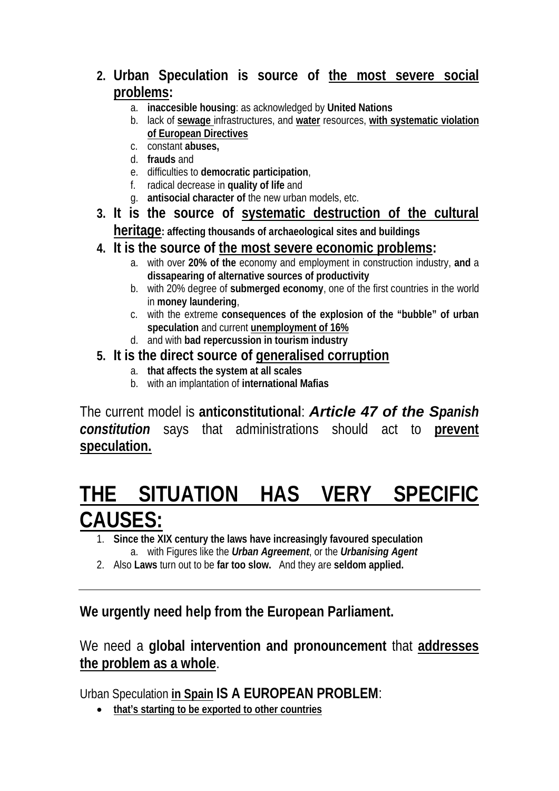- **2. Urban Speculation is source of the most severe social problems:** 
	- a. **inaccesible housing**: as acknowledged by **United Nations**
	- b. lack of **sewage** infrastructures, and **water** resources, **with systematic violation of European Directives**
	- c. constant **abuses,**
	- d. **frauds** and
	- e. difficulties to **democratic participation**,
	- f. radical decrease in **quality of life** and
	- g. **antisocial character of** the new urban models, etc.
- **3. It is the source of systematic destruction of the cultural heritage: affecting thousands of archaeological sites and buildings**
- **4. It is the source of the most severe economic problems:** 
	- a. with over **20% of the** economy and employment in construction industry, **and** a **dissapearing of alternative sources of productivity**
	- b. with 20% degree of **submerged economy**, one of the first countries in the world in **money laundering**,
	- c. with the extreme **consequences of the explosion of the "bubble" of urban speculation** and current **unemployment of 16%**
	- d. and with **bad repercussion in tourism industry**
- **5. It is the direct source of generalised corruption**
	- a. **that affects the system at all scales**
	- b. with an implantation of **international Mafias**

The current model is **anticonstitutional**: *Article 47 of the Spanish constitution* says that administrations should act to **prevent speculation.**

## **THE SITUATION HAS VERY SPECIFIC CAUSES:**

- 1. **Since the XIX century the laws have increasingly favoured speculation** a. with Figures like the *Urban Agreement*, or the *Urbanising Agent*
- 2. Also **Laws** turn out to be **far too slow.** And they are **seldom applied.**

**We urgently need help from the European Parliament.**

We need a **global intervention and pronouncement** that **addresses the problem as a whole**.

Urban Speculation **in Spain IS A EUROPEAN PROBLEM**:

**that's starting to be exported to other countries**